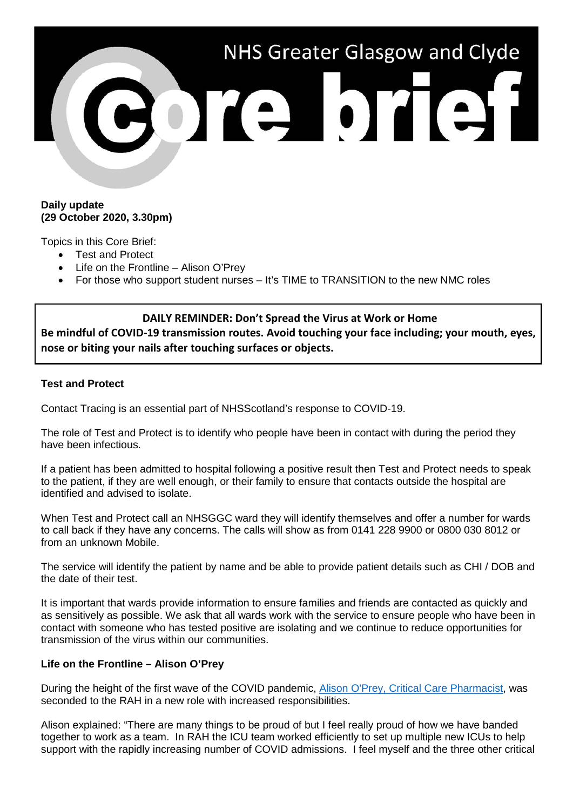

## **Daily update (29 October 2020, 3.30pm)**

Topics in this Core Brief:

- Test and Protect
- Life on the Frontline Alison O'Prey
- For those who support student nurses It's TIME to TRANSITION to the new NMC roles

### **DAILY REMINDER: Don't Spread the Virus at Work or Home**

**Be mindful of COVID-19 transmission routes. Avoid touching your face including; your mouth, eyes, nose or biting your nails after touching surfaces or objects.** 

#### **Test and Protect**

Contact Tracing is an essential part of NHSScotland's response to COVID-19.

The role of Test and Protect is to identify who people have been in contact with during the period they have been infectious.

If a patient has been admitted to hospital following a positive result then Test and Protect needs to speak to the patient, if they are well enough, or their family to ensure that contacts outside the hospital are identified and advised to isolate.

When Test and Protect call an NHSGGC ward they will identify themselves and offer a number for wards to call back if they have any concerns. The calls will show as from 0141 228 9900 or 0800 030 8012 or from an unknown Mobile.

The service will identify the patient by name and be able to provide patient details such as CHI / DOB and the date of their test.

It is important that wards provide information to ensure families and friends are contacted as quickly and as sensitively as possible. We ask that all wards work with the service to ensure people who have been in contact with someone who has tested positive are isolating and we continue to reduce opportunities for transmission of the virus within our communities.

## **Life on the Frontline – Alison O'Prey**

During the height of the first wave of the COVID pandemic, [Alison O'Prey, Critical Care Pharmacist,](https://www.youtube.com/watch?v=ahAr9JqAwv0) was seconded to the RAH in a new role with increased responsibilities.

Alison explained: "There are many things to be proud of but I feel really proud of how we have banded together to work as a team. In RAH the ICU team worked efficiently to set up multiple new ICUs to help support with the rapidly increasing number of COVID admissions. I feel myself and the three other critical